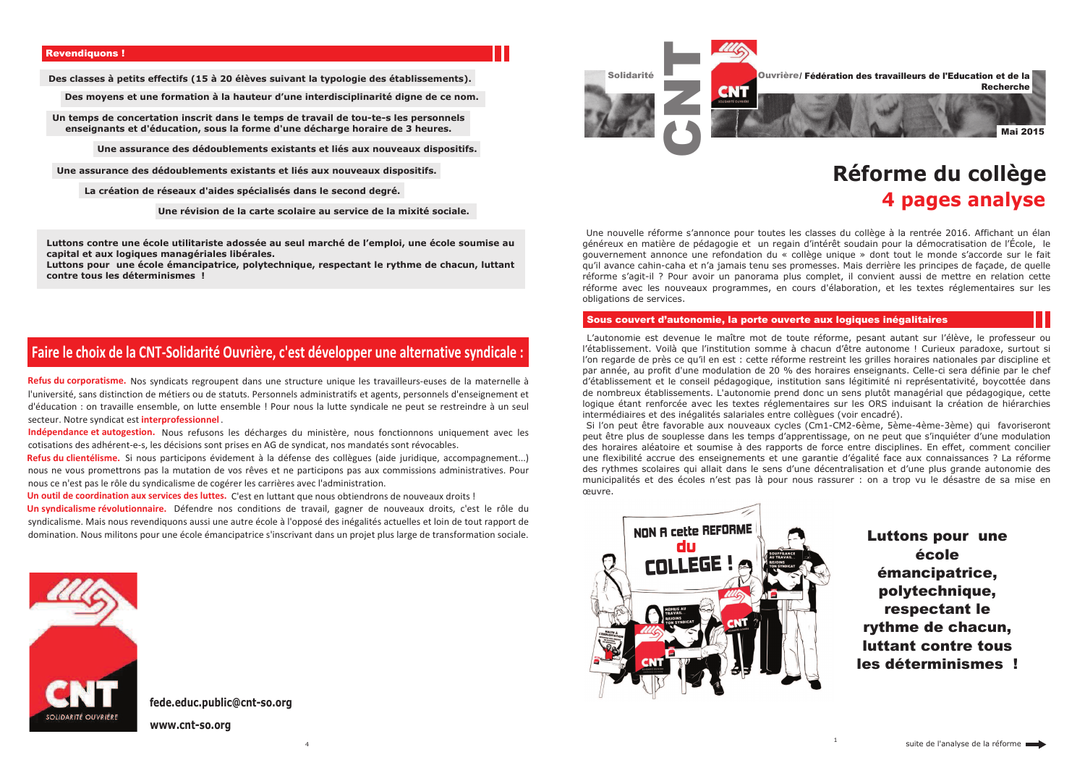Des classes à petits effectifs (15 à 20 élèves suivant la typologie des établissements).

Des moyens et une formation à la hauteur d'une interdisciplinarité digne de ce nom.

Un temps de concertation inscrit dans le temps de travail de tou-te-s les personnels enseignants et d'éducation, sous la forme d'une décharge horaire de 3 heures.

Une assurance des dédoublements existants et liés aux nouveaux dispositifs.

Une assurance des dédoublements existants et liés aux nouveaux dispositifs.

La création de réseaux d'aides spécialisés dans le second degré.

Une révision de la carte scolaire au service de la mixité sociale.

Luttons contre une école utilitariste adossée au seul marché de l'emploi, une école soumise au capital et aux logiques managériales libérales.

Luttons pour une école émancipatrice, polytechnique, respectant le rythme de chacun, luttant contre tous les déterminismes!

# Faire le choix de la CNT-Solidarité Ouvrière, c'est développer une alternative syndicale :

Refus du corporatisme. Nos syndicats regroupent dans une structure unique les travailleurs-euses de la maternelle à l'université, sans distinction de métiers ou de statuts. Personnels administratifs et agents, personnels d'enseignement et d'éducation : on travaille ensemble, on lutte ensemble ! Pour nous la lutte syndicale ne peut se restreindre à un seul secteur. Notre syndicat est interprofessionnel.

Indépendance et autogestion. Nous refusons les décharges du ministère, nous fonctionnons uniquement avec les cotisations des adhérent-e-s, les décisions sont prises en AG de syndicat, nos mandatés sont révocables.

Refus du clientélisme. Si nous participons évidement à la défense des collègues (aide juridique, accompagnement...) nous ne vous promettrons pas la mutation de vos rêves et ne participons pas aux commissions administratives. Pour nous ce n'est pas le rôle du syndicalisme de cogérer les carrières avec l'administration.

Un outil de coordination aux services des luttes. C'est en luttant que nous obtiendrons de nouveaux droits !

Un syndicalisme révolutionnaire. Défendre nos conditions de travail, gagner de nouveaux droits, c'est le rôle du syndicalisme. Mais nous revendiquons aussi une autre école à l'opposé des inégalités actuelles et loin de tout rapport de domination. Nous militons pour une école émancipatrice s'inscrivant dans un projet plus large de transformation sociale.



# fede.educ.public@cnt-so.org

www.cnt-so.org



Une nouvelle réforme s'annonce pour toutes les classes du collège à la rentrée 2016. Affichant un élan généreux en matière de pédagogie et un regain d'intérêt soudain pour la démocratisation de l'École, le gouvernement annonce une refondation du « collège unique » dont tout le monde s'accorde sur le fait gu'il avance cahin-caha et n'a jamais tenu ses promesses. Mais derrière les principes de facade, de quelle réforme s'agit-il ? Pour avoir un panorama plus complet, il convient aussi de mettre en relation cette réforme avec les nouveaux programmes, en cours d'élaboration, et les textes réglementaires sur les obligations de services.

# Sous couvert d'autonomie, la porte ouverte aux logiques inégalitaires

L'autonomie est devenue le maître mot de toute réforme, pesant autant sur l'élève, le professeur ou l'établissement. Voilà que l'institution somme à chacun d'être autonome ! Curieux paradoxe, surtout si l'on regarde de près ce qu'il en est : cette réforme restreint les grilles horaires nationales par discipline et par année, au profit d'une modulation de 20 % des horaires enseignants. Celle-ci sera définie par le chef d'établissement et le conseil pédagogique, institution sans légitimité ni représentativité, boycottée dans de nombreux établissements. L'autonomie prend donc un sens plutôt managérial que pédagogique, cette logique étant renforcée avec les textes réglementaires sur les ORS induisant la création de hiérarchies intermédiaires et des inégalités salariales entre collègues (voir encadré). Si l'on peut être favorable aux nouveaux cycles (Cm1-CM2-6ème, 5ème-4ème-3ème) qui favoriseront peut être plus de souplesse dans les temps d'apprentissage, on ne peut que s'inquiéter d'une modulation des horaires aléatoire et soumise à des rapports de force entre disciplines. En effet, comment concilier une flexibilité accrue des enseignements et une garantie d'égalité face aux connaissances ? La réforme des rythmes scolaires qui allait dans le sens d'une décentralisation et d'une plus grande autonomie des municipalités et des écoles n'est pas là pour nous rassurer : on a trop vu le désastre de sa mise en œuvre.



Ouvrière/ Fédération des travailleurs de l'Education et de la **Recherche** 

# Réforme du collège 4 pages analyse



**Luttons pour une** école émancipatrice. polytechnique, respectant le rythme de chacun. luttant contre tous les déterminismes!